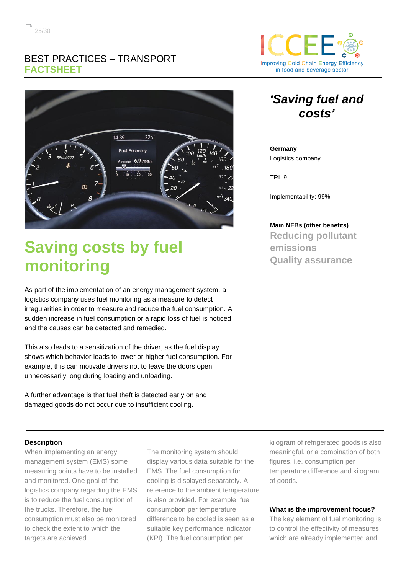### BEST PRACTICES – TRANSPORT **FACTSHEET**



# **Saving costs by fuel monitoring**

As part of the implementation of an energy management system, a logistics company uses fuel monitoring as a measure to detect irregularities in order to measure and reduce the fuel consumption. A sudden increase in fuel consumption or a rapid loss of fuel is noticed and the causes can be detected and remedied.

This also leads to a sensitization of the driver, as the fuel display shows which behavior leads to lower or higher fuel consumption. For example, this can motivate drivers not to leave the doors open unnecessarily long during loading and unloading.

A further advantage is that fuel theft is detected early on and damaged goods do not occur due to insufficient cooling.



# *'Saving fuel and costs'*

**Germany** Logistics company

TRL 9

Implementability: 99%

**Main NEBs (other benefits) Reducing pollutant emissions Quality assurance**

\_\_\_\_\_\_\_\_\_\_\_\_\_\_\_\_\_\_\_\_\_\_\_\_\_\_\_\_\_\_\_\_

#### **Description**

When implementing an energy management system (EMS) some measuring points have to be installed and monitored. One goal of the logistics company regarding the EMS is to reduce the fuel consumption of the trucks. Therefore, the fuel consumption must also be monitored to check the extent to which the targets are achieved.

The monitoring system should display various data suitable for the EMS. The fuel consumption for cooling is displayed separately. A reference to the ambient temperature is also provided. For example, fuel consumption per temperature difference to be cooled is seen as a suitable key performance indicator (KPI). The fuel consumption per

kilogram of refrigerated goods is also meaningful, or a combination of both figures, i.e. consumption per temperature difference and kilogram of goods.

#### **What is the improvement focus?**

The key element of fuel monitoring is to control the effectivity of measures which are already implemented and